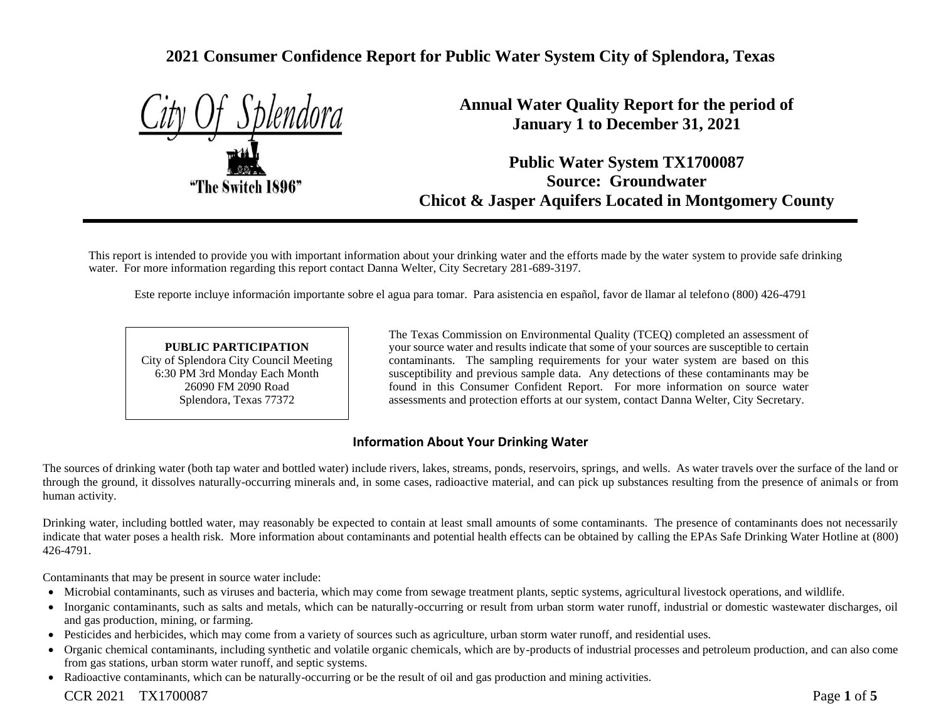# **2021 Consumer Confidence Report for Public Water System City of Splendora, Texas**

|  |                 | if Splend <u>ora</u> |
|--|-----------------|----------------------|
|  |                 |                      |
|  |                 |                      |
|  |                 |                      |
|  | he Switch 1896" |                      |
|  |                 |                      |

**Annual Water Quality Report for the period of January 1 to December 31, 2021**

**Public Water System TX1700087 Source: Groundwater Chicot & Jasper Aquifers Located in Montgomery County**

This report is intended to provide you with important information about your drinking water and the efforts made by the water system to provide safe drinking water. For more information regarding this report contact Danna Welter, City Secretary 281-689-3197.

Este reporte incluye información importante sobre el agua para tomar. Para asistencia en español, favor de llamar al telefono (800) 426-4791

#### **PUBLIC PARTICIPATION** City of Splendora City Council Meeting 6:30 PM 3rd Monday Each Month 26090 FM 2090 Road Splendora, Texas 77372

The Texas Commission on Environmental Quality (TCEQ) completed an assessment of your source water and results indicate that some of your sources are susceptible to certain contaminants. The sampling requirements for your water system are based on this susceptibility and previous sample data. Any detections of these contaminants may be found in this Consumer Confident Report. For more information on source water assessments and protection efforts at our system, contact Danna Welter, City Secretary.

## **Information About Your Drinking Water**

The sources of drinking water (both tap water and bottled water) include rivers, lakes, streams, ponds, reservoirs, springs, and wells. As water travels over the surface of the land or through the ground, it dissolves naturally-occurring minerals and, in some cases, radioactive material, and can pick up substances resulting from the presence of animals or from human activity.

Drinking water, including bottled water, may reasonably be expected to contain at least small amounts of some contaminants. The presence of contaminants does not necessarily indicate that water poses a health risk. More information about contaminants and potential health effects can be obtained by calling the EPAs Safe Drinking Water Hotline at (800) 426-4791.

Contaminants that may be present in source water include:

- Microbial contaminants, such as viruses and bacteria, which may come from sewage treatment plants, septic systems, agricultural livestock operations, and wildlife.
- Inorganic contaminants, such as salts and metals, which can be naturally-occurring or result from urban storm water runoff, industrial or domestic wastewater discharges, oil and gas production, mining, or farming.
- Pesticides and herbicides, which may come from a variety of sources such as agriculture, urban storm water runoff, and residential uses.
- Organic chemical contaminants, including synthetic and volatile organic chemicals, which are by-products of industrial processes and petroleum production, and can also come from gas stations, urban storm water runoff, and septic systems.
- Radioactive contaminants, which can be naturally-occurring or be the result of oil and gas production and mining activities.

## CCR 2021 TX1700087 Page **1** of **5**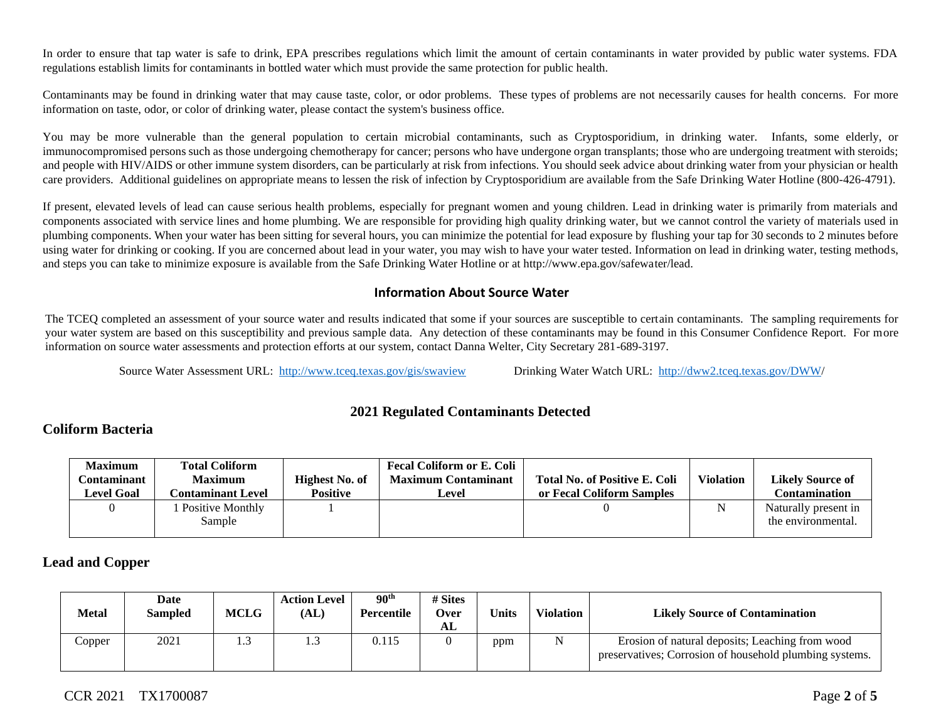In order to ensure that tap water is safe to drink, EPA prescribes regulations which limit the amount of certain contaminants in water provided by public water systems. FDA regulations establish limits for contaminants in bottled water which must provide the same protection for public health.

Contaminants may be found in drinking water that may cause taste, color, or odor problems. These types of problems are not necessarily causes for health concerns. For more information on taste, odor, or color of drinking water, please contact the system's business office.

You may be more vulnerable than the general population to certain microbial contaminants, such as Cryptosporidium, in drinking water. Infants, some elderly, or immunocompromised persons such as those undergoing chemotherapy for cancer; persons who have undergone organ transplants; those who are undergoing treatment with steroids; and people with HIV/AIDS or other immune system disorders, can be particularly at risk from infections. You should seek advice about drinking water from your physician or health care providers. Additional guidelines on appropriate means to lessen the risk of infection by Cryptosporidium are available from the Safe Drinking Water Hotline (800-426-4791).

If present, elevated levels of lead can cause serious health problems, especially for pregnant women and young children. Lead in drinking water is primarily from materials and components associated with service lines and home plumbing. We are responsible for providing high quality drinking water, but we cannot control the variety of materials used in plumbing components. When your water has been sitting for several hours, you can minimize the potential for lead exposure by flushing your tap for 30 seconds to 2 minutes before using water for drinking or cooking. If you are concerned about lead in your water, you may wish to have your water tested. Information on lead in drinking water, testing methods, and steps you can take to minimize exposure is available from the Safe Drinking Water Hotline or at http://www.epa.gov/safewater/lead.

#### **Information About Source Water**

The TCEQ completed an assessment of your source water and results indicated that some if your sources are susceptible to certain contaminants. The sampling requirements for your water system are based on this susceptibility and previous sample data. Any detection of these contaminants may be found in this Consumer Confidence Report. For more information on source water assessments and protection efforts at our system, contact Danna Welter, City Secretary 281-689-3197.

Source Water Assessment URL: <http://www.tceq.texas.gov/gis/swaview>Drinking Water Watch URL: [http://dww2.tceq.texas.gov/DWW/](http://dww2.tceq.texas.gov/DWW)

#### **2021 Regulated Contaminants Detected**

#### **Coliform Bacteria**

| <b>Maximum</b>      | <b>Total Coliform</b> |                 | <b>Fecal Coliform or E. Coli</b> |                                      |                  |                         |
|---------------------|-----------------------|-----------------|----------------------------------|--------------------------------------|------------------|-------------------------|
| C <b>ontaminant</b> | <b>Maximum</b>        | Highest No. of  | <b>Maximum Contaminant</b>       | <b>Total No. of Positive E. Coli</b> | <b>Violation</b> | <b>Likely Source of</b> |
| <b>Level Goal</b>   | Contaminant Level .   | <b>Positive</b> | Level                            | or Fecal Coliform Samples            |                  | Contamination           |
|                     | Positive Monthly      |                 |                                  |                                      |                  | Naturally present in    |
|                     | Sample                |                 |                                  |                                      |                  | the environmental.      |
|                     |                       |                 |                                  |                                      |                  |                         |

#### **Lead and Copper**

| <b>Metal</b>                         | Date<br><b>Sampled</b> | MCLG | <b>Action Level</b><br>(AL) | 90 <sup>th</sup><br>Percentile | # Sites<br>Over<br>AL | <b>Units</b> | <b>Violation</b> | <b>Likely Source of Contamination</b>                                                                      |
|--------------------------------------|------------------------|------|-----------------------------|--------------------------------|-----------------------|--------------|------------------|------------------------------------------------------------------------------------------------------------|
| $\mathop{\mathcal{L}\mathrm{opper}}$ | 2021                   |      | ر. .                        | 0.115                          |                       | ppm          |                  | Erosion of natural deposits; Leaching from wood<br>preservatives; Corrosion of household plumbing systems. |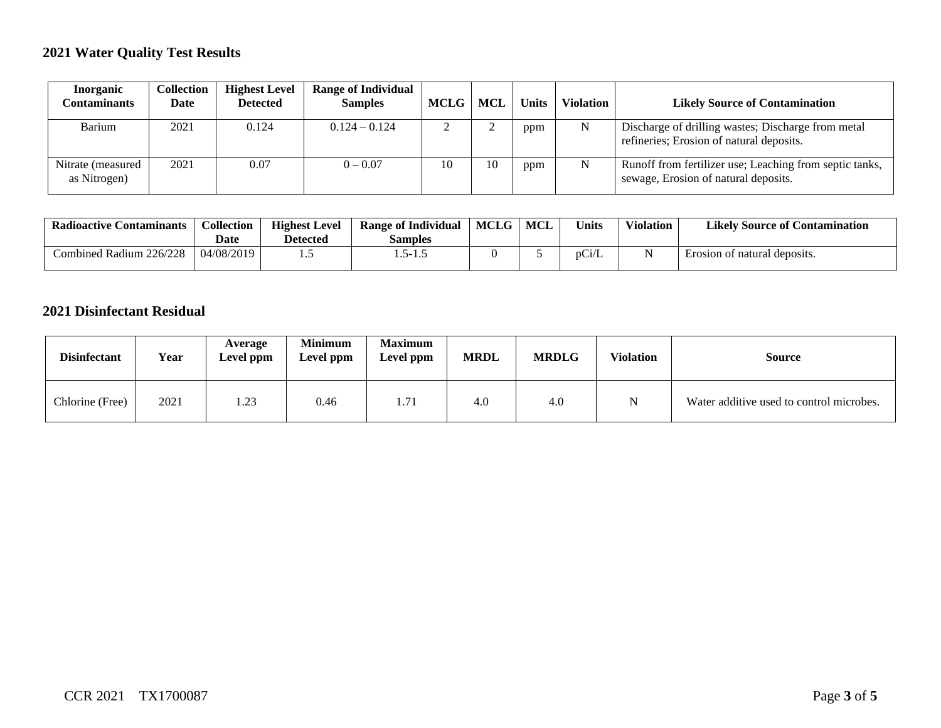# **2021 Water Quality Test Results**

| Inorganic<br>Contaminants         | <b>Collection</b><br>Date | <b>Highest Level</b><br><b>Detected</b> | <b>Range of Individual</b><br><b>Samples</b> | <b>MCLG</b> | MCL | <b>Units</b> | <b>Violation</b> | <b>Likely Source of Contamination</b>                                                           |
|-----------------------------------|---------------------------|-----------------------------------------|----------------------------------------------|-------------|-----|--------------|------------------|-------------------------------------------------------------------------------------------------|
| Barium                            | 2021                      | 0.124                                   | $0.124 - 0.124$                              |             |     | ppm          | N                | Discharge of drilling wastes; Discharge from metal<br>refineries; Erosion of natural deposits.  |
| Nitrate (measured<br>as Nitrogen) | 2021                      | 0.07                                    | $0 - 0.07$                                   | 10          | 10  | ppm          | N                | Runoff from fertilizer use; Leaching from septic tanks,<br>sewage, Erosion of natural deposits. |

| Radioactive<br>. Contaminants | Collection<br><b>Date</b> | <b>Highest Level</b><br><b>Detected</b> | <b>Range of Individual</b><br>Samples | <b>MCLG</b> | <b>MCL</b> | <b>Units</b> | <b>Violation</b> | <b>Likely Source of Contamination</b> |
|-------------------------------|---------------------------|-----------------------------------------|---------------------------------------|-------------|------------|--------------|------------------|---------------------------------------|
| Combined Radium 226/228       | 04/08/2019                | ن ا                                     | 1.5-1.5                               |             |            | pCi/L        |                  | f natural deposits.<br>Erosion of     |

## **2021 Disinfectant Residual**

| <b>Disinfectant</b> | Year | Average<br><b>Level ppm</b> | <b>Minimum</b><br>Level ppm | <b>Maximum</b><br>Level ppm | <b>MRDL</b> | <b>MRDLG</b> | <b>Violation</b> | Source                                   |
|---------------------|------|-----------------------------|-----------------------------|-----------------------------|-------------|--------------|------------------|------------------------------------------|
| Chlorine (Free)     | 2021 | 1.23                        | 0.46                        | 1.71                        | 4.0         | 4.0          | N                | Water additive used to control microbes. |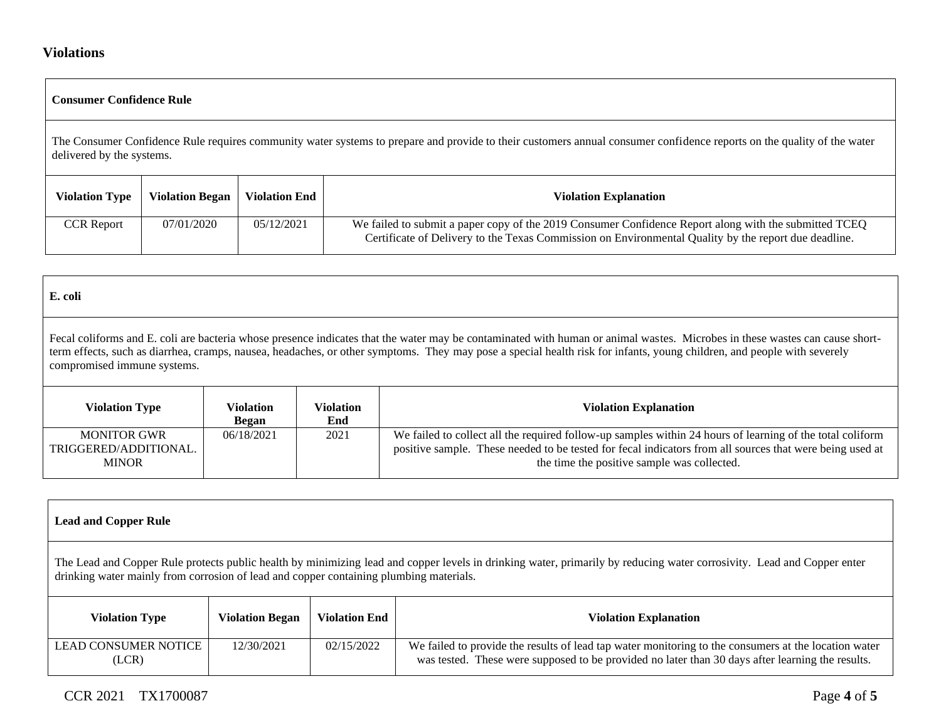## **Violations**

|                                                                                                                                                                                                     | Consumer Confidence Rule |                      |                                                                                                                                                                                                               |  |  |  |  |
|-----------------------------------------------------------------------------------------------------------------------------------------------------------------------------------------------------|--------------------------|----------------------|---------------------------------------------------------------------------------------------------------------------------------------------------------------------------------------------------------------|--|--|--|--|
| The Consumer Confidence Rule requires community water systems to prepare and provide to their customers annual consumer confidence reports on the quality of the water<br>delivered by the systems. |                          |                      |                                                                                                                                                                                                               |  |  |  |  |
| <b>Violation Type</b>                                                                                                                                                                               | <b>Violation Began</b>   | <b>Violation End</b> | <b>Violation Explanation</b>                                                                                                                                                                                  |  |  |  |  |
| <b>CCR Report</b>                                                                                                                                                                                   | 07/01/2020               | 05/12/2021           | We failed to submit a paper copy of the 2019 Consumer Confidence Report along with the submitted TCEQ<br>Certificate of Delivery to the Texas Commission on Environmental Quality by the report due deadline. |  |  |  |  |

| E. coli                                                                                                                                                                                                                                                                                                                                                                               |                    |                         |                                                                                                                                                                                                                                                                      |  |  |  |  |
|---------------------------------------------------------------------------------------------------------------------------------------------------------------------------------------------------------------------------------------------------------------------------------------------------------------------------------------------------------------------------------------|--------------------|-------------------------|----------------------------------------------------------------------------------------------------------------------------------------------------------------------------------------------------------------------------------------------------------------------|--|--|--|--|
| Fecal coliforms and E. coli are bacteria whose presence indicates that the water may be contaminated with human or animal wastes. Microbes in these wastes can cause short-<br>term effects, such as diarrhea, cramps, nausea, headaches, or other symptoms. They may pose a special health risk for infants, young children, and people with severely<br>compromised immune systems. |                    |                         |                                                                                                                                                                                                                                                                      |  |  |  |  |
| <b>Violation Type</b>                                                                                                                                                                                                                                                                                                                                                                 | Violation<br>Began | <b>Violation</b><br>End | <b>Violation Explanation</b>                                                                                                                                                                                                                                         |  |  |  |  |
| <b>MONITOR GWR</b><br>TRIGGERED/ADDITIONAL.<br><b>MINOR</b>                                                                                                                                                                                                                                                                                                                           | 06/18/2021         | 2021                    | We failed to collect all the required follow-up samples within 24 hours of learning of the total coliform<br>positive sample. These needed to be tested for fecal indicators from all sources that were being used at<br>the time the positive sample was collected. |  |  |  |  |

| <b>Lead and Copper Rule</b>                                                                                                                                                                                                                                      |                        |                      |                                                                                                                                                                                                          |  |  |  |  |
|------------------------------------------------------------------------------------------------------------------------------------------------------------------------------------------------------------------------------------------------------------------|------------------------|----------------------|----------------------------------------------------------------------------------------------------------------------------------------------------------------------------------------------------------|--|--|--|--|
| The Lead and Copper Rule protects public health by minimizing lead and copper levels in drinking water, primarily by reducing water corrosivity. Lead and Copper enter<br>drinking water mainly from corrosion of lead and copper containing plumbing materials. |                        |                      |                                                                                                                                                                                                          |  |  |  |  |
| <b>Violation Type</b>                                                                                                                                                                                                                                            | <b>Violation Began</b> | <b>Violation End</b> | <b>Violation Explanation</b>                                                                                                                                                                             |  |  |  |  |
| <b>LEAD CONSUMER NOTICE</b><br>(LCR)                                                                                                                                                                                                                             | 12/30/2021             | 02/15/2022           | We failed to provide the results of lead tap water monitoring to the consumers at the location water<br>was tested. These were supposed to be provided no later than 30 days after learning the results. |  |  |  |  |